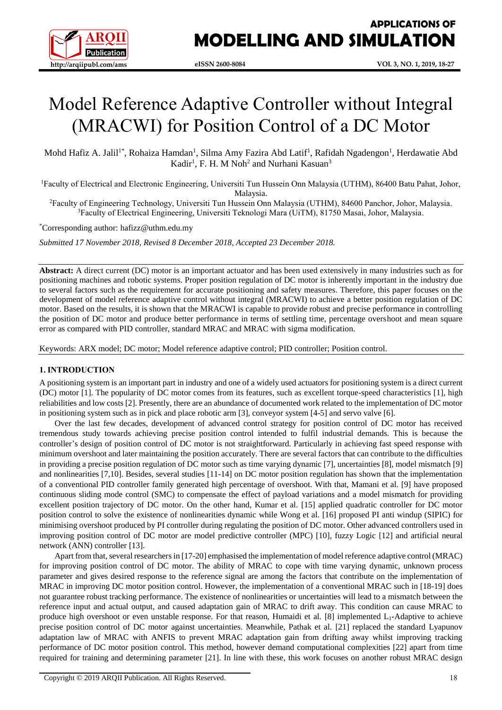

# Model Reference Adaptive Controller without Integral (MRACWI) for Position Control of a DC Motor

Mohd Hafiz A. Jalil<sup>1\*</sup>, Rohaiza Hamdan<sup>1</sup>, Silma Amy Fazira Abd Latif<sup>1</sup>, Rafidah Ngadengon<sup>1</sup>, Herdawatie Abd Kadir<sup>1</sup>, F. H. M Noh<sup>2</sup> and Nurhani Kasuan<sup>3</sup>

<sup>1</sup>Faculty of Electrical and Electronic Engineering, Universiti Tun Hussein Onn Malaysia (UTHM), 86400 Batu Pahat, Johor, Malaysia.

<sup>2</sup>Faculty of Engineering Technology, Universiti Tun Hussein Onn Malaysia (UTHM), 84600 Panchor, Johor, Malaysia. <sup>3</sup>Faculty of Electrical Engineering, Universiti Teknologi Mara (UiTM), 81750 Masai, Johor, Malaysia.

\*Corresponding author: hafizz@uthm.edu.my

*Submitted 17 November 2018, Revised 8 December 2018, Accepted 23 December 2018.*

**Abstract:** A direct current (DC) motor is an important actuator and has been used extensively in many industries such as for positioning machines and robotic systems. Proper position regulation of DC motor is inherently important in the industry due to several factors such as the requirement for accurate positioning and safety measures. Therefore, this paper focuses on the development of model reference adaptive control without integral (MRACWI) to achieve a better position regulation of DC motor. Based on the results, it is shown that the MRACWI is capable to provide robust and precise performance in controlling the position of DC motor and produce better performance in terms of settling time, percentage overshoot and mean square error as compared with PID controller, standard MRAC and MRAC with sigma modification.

Keywords: ARX model; DC motor; Model reference adaptive control; PID controller; Position control.

# **1. INTRODUCTION**

A positioning system is an important part in industry and one of a widely used actuators for positioning system is a direct current (DC) motor [1]. The popularity of DC motor comes from its features, such as excellent torque-speed characteristics [1], high reliabilities and low costs [2]. Presently, there are an abundance of documented work related to the implementation of DC motor in positioning system such as in pick and place robotic arm [3], conveyor system [4-5] and servo valve [6].

Over the last few decades, development of advanced control strategy for position control of DC motor has received tremendous study towards achieving precise position control intended to fulfil industrial demands. This is because the controller's design of position control of DC motor is not straightforward. Particularly in achieving fast speed response with minimum overshoot and later maintaining the position accurately. There are several factors that can contribute to the difficulties in providing a precise position regulation of DC motor such as time varying dynamic [7], uncertainties [8], model mismatch [9] and nonlinearities [7,10]. Besides, several studies [11-14] on DC motor position regulation has shown that the implementation of a conventional PID controller family generated high percentage of overshoot. With that, Mamani et al. [9] have proposed continuous sliding mode control (SMC) to compensate the effect of payload variations and a model mismatch for providing excellent position trajectory of DC motor. On the other hand, Kumar et al. [15] applied quadratic controller for DC motor position control to solve the existence of nonlinearities dynamic while Wong et al. [16] proposed PI anti windup (SIPIC) for minimising overshoot produced by PI controller during regulating the position of DC motor. Other advanced controllers used in improving position control of DC motor are model predictive controller (MPC) [10], fuzzy Logic [12] and artificial neural network (ANN) controller [13].

Apart from that, several researchers in [17-20] emphasised the implementation of model reference adaptive control (MRAC) for improving position control of DC motor. The ability of MRAC to cope with time varying dynamic, unknown process parameter and gives desired response to the reference signal are among the factors that contribute on the implementation of MRAC in improving DC motor position control. However, the implementation of a conventional MRAC such in [18-19] does not guarantee robust tracking performance. The existence of nonlinearities or uncertainties will lead to a mismatch between the reference input and actual output, and caused adaptation gain of MRAC to drift away. This condition can cause MRAC to produce high overshoot or even unstable response. For that reason, Humaidi et al. [8] implemented L1**-**Adaptive to achieve precise position control of DC motor against uncertainties. Meanwhile, Pathak et al. [21] replaced the standard Lyapunov adaptation law of MRAC with ANFIS to prevent MRAC adaptation gain from drifting away whilst improving tracking performance of DC motor position control. This method, however demand computational complexities [22] apart from time required for training and determining parameter [21]. In line with these, this work focuses on another robust MRAC design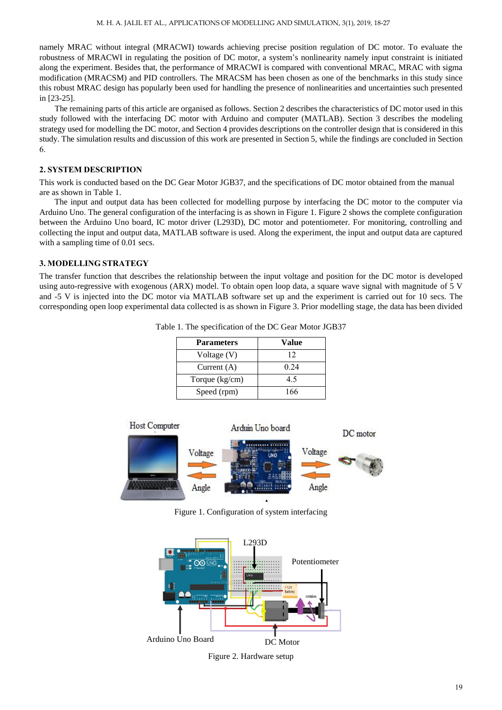namely MRAC without integral (MRACWI) towards achieving precise position regulation of DC motor. To evaluate the robustness of MRACWI in regulating the position of DC motor, a system's nonlinearity namely input constraint is initiated along the experiment. Besides that, the performance of MRACWI is compared with conventional MRAC, MRAC with sigma modification (MRACSM) and PID controllers. The MRACSM has been chosen as one of the benchmarks in this study since this robust MRAC design has popularly been used for handling the presence of nonlinearities and uncertainties such presented in [23-25].

The remaining parts of this article are organised as follows. Section 2 describes the characteristics of DC motor used in this study followed with the interfacing DC motor with Arduino and computer (MATLAB). Section 3 describes the modeling strategy used for modelling the DC motor, and Section 4 provides descriptions on the controller design that is considered in this study. The simulation results and discussion of this work are presented in Section 5, while the findings are concluded in Section 6.

# **2. SYSTEM DESCRIPTION**

This work is conducted based on the DC Gear Motor JGB37, and the specifications of DC motor obtained from the manual are as shown in Table 1.

The input and output data has been collected for modelling purpose by interfacing the DC motor to the computer via Arduino Uno. The general configuration of the interfacing is as shown in Figure 1. Figure 2 shows the complete configuration between the Arduino Uno board, IC motor driver (L293D), DC motor and potentiometer. For monitoring, controlling and collecting the input and output data, MATLAB software is used. Along the experiment, the input and output data are captured with a sampling time of 0.01 secs.

## **3. MODELLING STRATEGY**

The transfer function that describes the relationship between the input voltage and position for the DC motor is developed using auto-regressive with exogenous (ARX) model. To obtain open loop data, a square wave signal with magnitude of 5 V and -5 V is injected into the DC motor via MATLAB software set up and the experiment is carried out for 10 secs. The corresponding open loop experimental data collected is as shown in Figure 3. Prior modelling stage, the data has been divided

| <b>Parameters</b> | Value |
|-------------------|-------|
| Voltage (V)       | 12    |
| Current $(A)$     | 0.24  |
| Torque $(kg/cm)$  | 4.5   |
| Speed (rpm)       | 166   |

Table 1. The specification of the DC Gear Motor JGB37



Figure 1. Configuration of system interfacing



Figure 2. Hardware setup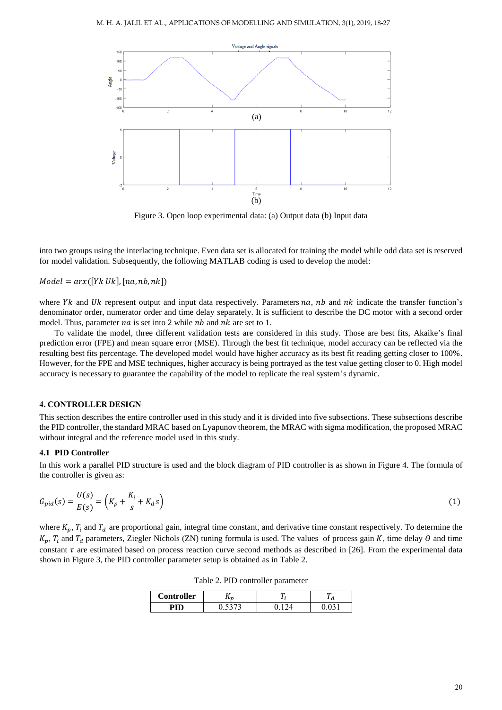

Figure 3. Open loop experimental data: (a) Output data (b) Input data

into two groups using the interlacing technique. Even data set is allocated for training the model while odd data set is reserved for model validation. Subsequently, the following MATLAB coding is used to develop the model:

 $Model = arx([Yk \, Uk], [na, nb, nk])$ 

where  $Yk$  and  $Uk$  represent output and input data respectively. Parameters  $na$ ,  $nb$  and  $nk$  indicate the transfer function's denominator order, numerator order and time delay separately. It is sufficient to describe the DC motor with a second order model. Thus, parameter  $na$  is set into 2 while  $nb$  and  $nk$  are set to 1.

To validate the model, three different validation tests are considered in this study. Those are best fits, Akaike's final prediction error (FPE) and mean square error (MSE). Through the best fit technique, model accuracy can be reflected via the resulting best fits percentage. The developed model would have higher accuracy as its best fit reading getting closer to 100%. However, for the FPE and MSE techniques, higher accuracy is being portrayed as the test value getting closer to 0. High model accuracy is necessary to guarantee the capability of the model to replicate the real system's dynamic.

## **4. CONTROLLER DESIGN**

This section describes the entire controller used in this study and it is divided into five subsections. These subsections describe the PID controller, the standard MRAC based on Lyapunov theorem, the MRAC with sigma modification, the proposed MRAC without integral and the reference model used in this study.

### **4.1 PID Controller**

In this work a parallel PID structure is used and the block diagram of PID controller is as shown in Figure 4. The formula of the controller is given as:

$$
G_{pid}(s) = \frac{U(s)}{E(s)} = \left(K_p + \frac{K_i}{s} + K_d s\right)
$$
\n<sup>(1)</sup>

where  $K_p$ ,  $T_i$  and  $T_d$  are proportional gain, integral time constant, and derivative time constant respectively. To determine the  $K_p$ ,  $T_i$  and  $T_d$  parameters, Ziegler Nichols (ZN) tuning formula is used. The values of process gain K, time delay  $\theta$  and time constant  $\tau$  are estimated based on process reaction curve second methods as described in [26]. From the experimental data shown in Figure 3, the PID controller parameter setup is obtained as in Table 2.

Table 2. PID controller parameter

| Controller | ~ |  |
|------------|---|--|
|            |   |  |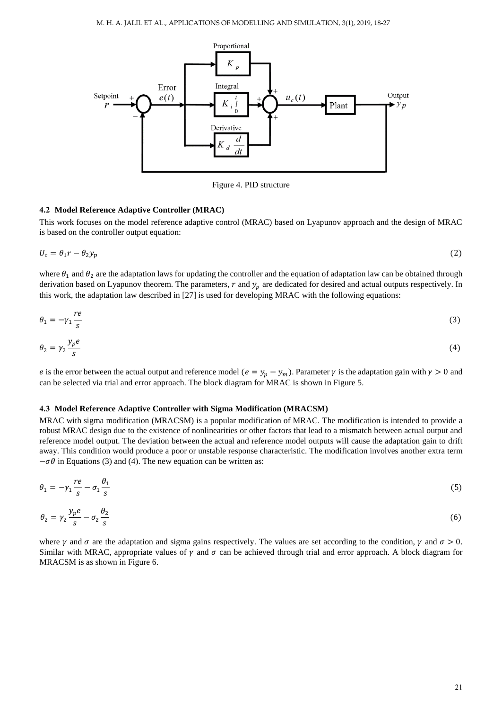

Figure 4. PID structure

## **4.2 Model Reference Adaptive Controller (MRAC)**

This work focuses on the model reference adaptive control (MRAC) based on Lyapunov approach and the design of MRAC is based on the controller output equation:

$$
U_c = \theta_1 r - \theta_2 y_p \tag{2}
$$

where  $\theta_1$  and  $\theta_2$  are the adaptation laws for updating the controller and the equation of adaptation law can be obtained through derivation based on Lyapunov theorem. The parameters,  $r$  and  $y_p$  are dedicated for desired and actual outputs respectively. In this work, the adaptation law described in [27] is used for developing MRAC with the following equations:

$$
\theta_1 = -\gamma_1 \frac{re}{s} \tag{3}
$$

$$
\theta_2 = \gamma_2 \frac{y_p e}{s} \tag{4}
$$

e is the error between the actual output and reference model ( $e = y_p - y_m$ ). Parameter  $\gamma$  is the adaptation gain with  $\gamma > 0$  and can be selected via trial and error approach. The block diagram for MRAC is shown in Figure 5.

## **4.3 Model Reference Adaptive Controller with Sigma Modification (MRACSM)**

MRAC with sigma modification (MRACSM) is a popular modification of MRAC. The modification is intended to provide a robust MRAC design due to the existence of nonlinearities or other factors that lead to a mismatch between actual output and reference model output. The deviation between the actual and reference model outputs will cause the adaptation gain to drift away. This condition would produce a poor or unstable response characteristic. The modification involves another extra term  $-\sigma\theta$  in Equations (3) and (4). The new equation can be written as:

$$
\theta_1 = -\gamma_1 \frac{re}{s} - \sigma_1 \frac{\theta_1}{s} \tag{5}
$$

$$
\theta_2 = \gamma_2 \frac{y_p e}{s} - \sigma_2 \frac{\theta_2}{s} \tag{6}
$$

where  $\gamma$  and  $\sigma$  are the adaptation and sigma gains respectively. The values are set according to the condition,  $\gamma$  and  $\sigma > 0$ . Similar with MRAC, appropriate values of  $\gamma$  and  $\sigma$  can be achieved through trial and error approach. A block diagram for MRACSM is as shown in Figure 6.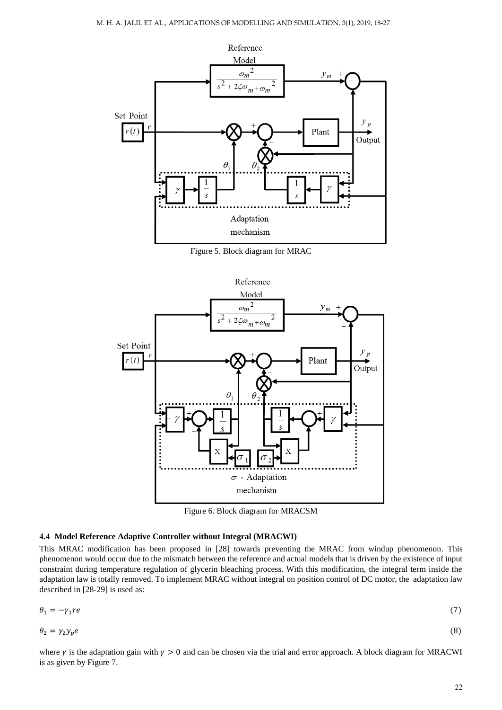

Figure 5. Block diagram for MRAC



Figure 6. Block diagram for MRACSM

# **4.4 Model Reference Adaptive Controller without Integral (MRACWI)**

This MRAC modification has been proposed in [28] towards preventing the MRAC from windup phenomenon. This phenomenon would occur due to the mismatch between the reference and actual models that is driven by the existence of input constraint during temperature regulation of glycerin bleaching process. With this modification, the integral term inside the adaptation law is totally removed. To implement MRAC without integral on position control of DC motor, the adaptation law described in [28-29] is used as:

$$
\theta_1 = -\gamma_1 r e \tag{7}
$$

$$
\theta_2 = \gamma_2 y_p e \tag{8}
$$

where  $\gamma$  is the adaptation gain with  $\gamma > 0$  and can be chosen via the trial and error approach. A block diagram for MRACWI is as given by Figure 7.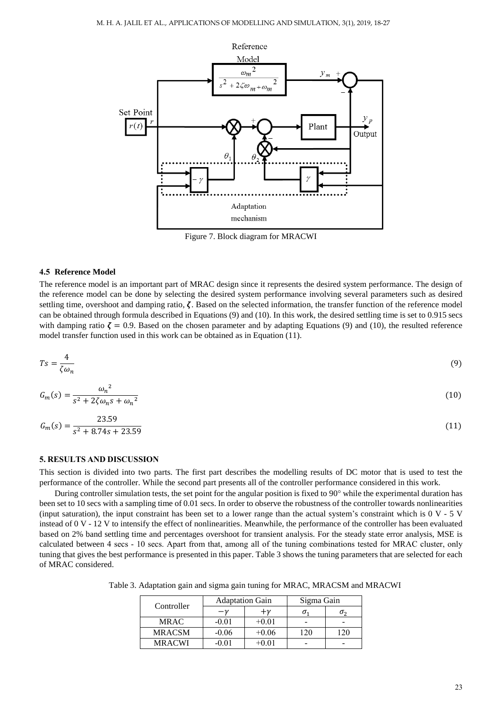

Figure 7. Block diagram for MRACWI

## **4.5 Reference Model**

The reference model is an important part of MRAC design since it represents the desired system performance. The design of the reference model can be done by selecting the desired system performance involving several parameters such as desired settling time, overshoot and damping ratio,  $\zeta$ . Based on the selected information, the transfer function of the reference model can be obtained through formula described in Equations (9) and (10). In this work, the desired settling time is set to 0.915 secs with damping ratio  $\zeta = 0.9$ . Based on the chosen parameter and by adapting Equations (9) and (10), the resulted reference model transfer function used in this work can be obtained as in Equation (11).

$$
Ts = \frac{4}{\zeta \omega_n} \tag{9}
$$

$$
G_m(s) = \frac{\omega_n^2}{s^2 + 2\zeta\omega_n s + \omega_n^2}
$$
\n<sup>(10)</sup>

$$
G_m(s) = \frac{23.59}{s^2 + 8.74s + 23.59} \tag{11}
$$

## **5. RESULTS AND DISCUSSION**

This section is divided into two parts. The first part describes the modelling results of DC motor that is used to test the performance of the controller. While the second part presents all of the controller performance considered in this work.

During controller simulation tests, the set point for the angular position is fixed to  $90^{\circ}$  while the experimental duration has been set to 10 secs with a sampling time of 0.01 secs. In order to observe the robustness of the controller towards nonlinearities (input saturation), the input constraint has been set to a lower range than the actual system's constraint which is 0 V - 5 V instead of 0 V - 12 V to intensify the effect of nonlinearities. Meanwhile, the performance of the controller has been evaluated based on 2% band settling time and percentages overshoot for transient analysis. For the steady state error analysis, MSE is calculated between 4 secs - 10 secs. Apart from that, among all of the tuning combinations tested for MRAC cluster, only tuning that gives the best performance is presented in this paper. Table 3 shows the tuning parameters that are selected for each of MRAC considered.

Table 3. Adaptation gain and sigma gain tuning for MRAC, MRACSM and MRACWI

| Controller    | <b>Adaptation Gain</b> |         | Sigma Gain |  |
|---------------|------------------------|---------|------------|--|
|               | $-\nu$                 | $+\nu$  | σ.         |  |
| <b>MRAC</b>   | $-0.01$                | $+0.01$ |            |  |
| <b>MRACSM</b> | $-0.06$                | $+0.06$ | 120        |  |
| <b>MRACWI</b> | $-0.01$                | $+0.01$ |            |  |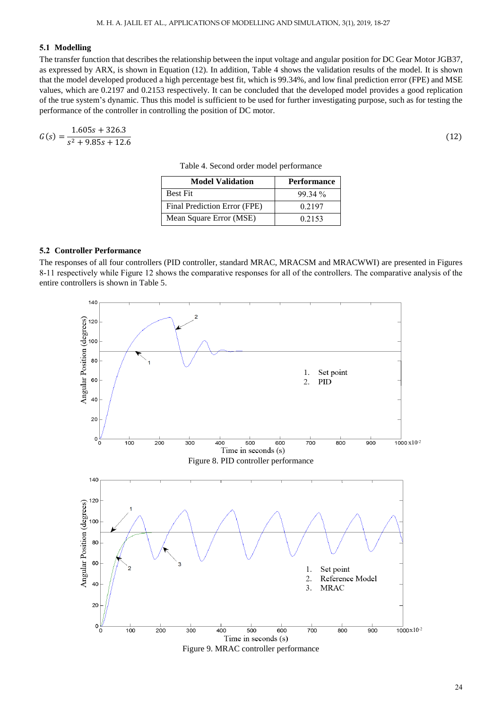# **5.1 Modelling**

The transfer function that describes the relationship between the input voltage and angular position for DC Gear Motor JGB37, as expressed by ARX, is shown in Equation (12). In addition, Table 4 shows the validation results of the model. It is shown that the model developed produced a high percentage best fit, which is 99.34%, and low final prediction error (FPE) and MSE values, which are 0.2197 and 0.2153 respectively. It can be concluded that the developed model provides a good replication of the true system's dynamic. Thus this model is sufficient to be used for further investigating purpose, such as for testing the performance of the controller in controlling the position of DC motor.

$$
G(s) = \frac{1.605s + 326.3}{s^2 + 9.85s + 12.6}
$$

| <b>Model Validation</b>      | <b>Performance</b> |
|------------------------------|--------------------|
| <b>Best Fit</b>              | $99.34\%$          |
| Final Prediction Error (FPE) | 0.2197             |
| Mean Square Error (MSE)      | 0.2153             |

Table 4. Second order model performance

### **5.2 Controller Performance**

The responses of all four controllers (PID controller, standard MRAC, MRACSM and MRACWWI) are presented in Figures 8-11 respectively while Figure 12 shows the comparative responses for all of the controllers. The comparative analysis of the entire controllers is shown in Table 5.



(12)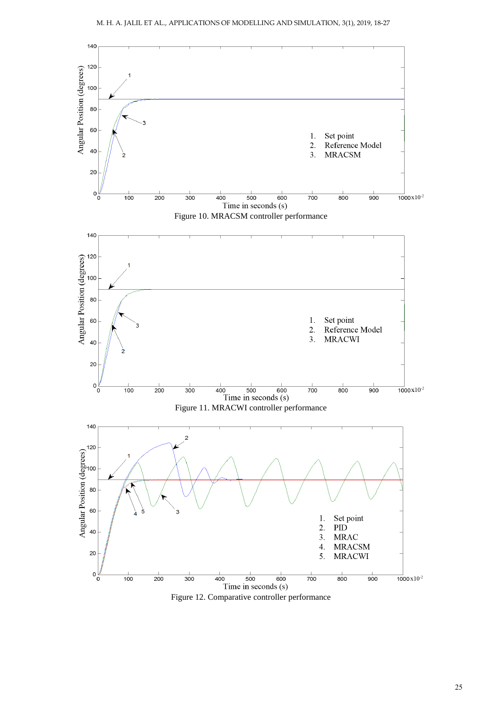

Figure 12. Comparative controller performance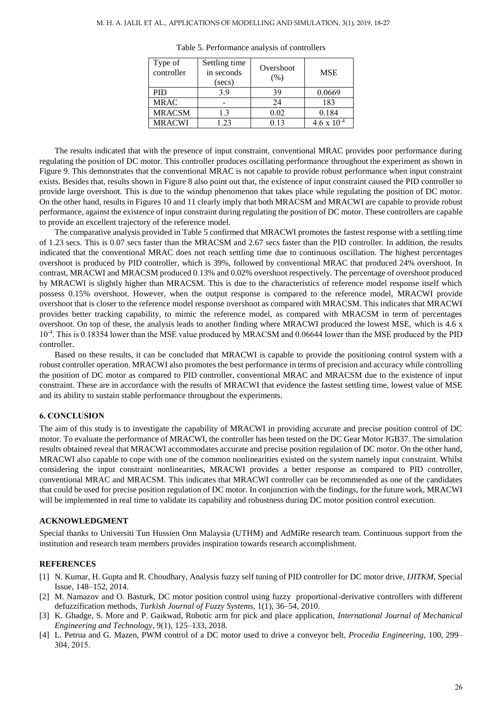| Type of<br>controller | Settling time<br>in seconds<br>(secs) | Overshoot<br>(% ) | <b>MSE</b>           |
|-----------------------|---------------------------------------|-------------------|----------------------|
| <b>PID</b>            | 3.9                                   | 39                | 0.0669               |
| <b>MRAC</b>           |                                       | 24                | 183                  |
| <b>MRACSM</b>         | 1.3                                   | 0.02              | 0.184                |
| <b>MRACWI</b>         | 1.23                                  | 0.13              | $4.6 \times 10^{-4}$ |

Table 5. Performance analysis of controllers

The results indicated that with the presence of input constraint, conventional MRAC provides poor performance during regulating the position of DC motor. This controller produces oscillating performance throughout the experiment as shown in Figure 9. This demonstrates that the conventional MRAC is not capable to provide robust performance when input constraint exists. Besides that, results shown in Figure 8 also point out that, the existence of input constraint caused the PID controller to provide large overshoot. This is due to the windup phenomenon that takes place while regulating the position of DC motor. On the other hand, results in Figures 10 and 11 clearly imply that both MRACSM and MRACWI are capable to provide robust performance, against the existence of input constraint during regulating the position of DC motor. These controllers are capable to provide an excellent trajectory of the reference model.

The comparative analysis provided in Table 5 confirmed that MRACWI promotes the fastest response with a settling time of 1.23 secs. This is 0.07 secs faster than the MRACSM and 2.67 secs faster than the PID controller. In addition, the results indicated that the conventional MRAC does not reach settling time due to continuous oscillation. The highest percentages overshoot is produced by PID controller, which is 39%, followed by conventional MRAC that produced 24% overshoot. In contrast, MRACWI and MRACSM produced 0.13% and 0.02% overshoot respectively. The percentage of overshoot produced by MRACWI is slightly higher than MRACSM. This is due to the characteristics of reference model response itself which possess 0.15% overshoot. However, when the output response is compared to the reference model, MRACWI provide overshoot that is closer to the reference model response overshoot as compared with MRACSM. This indicates that MRACWI provides better tracking capability, to mimic the reference model, as compared with MRACSM in term of percentages overshoot. On top of these, the analysis leads to another finding where MRACWI produced the lowest MSE, which is 4.6 x 10<sup>-4</sup>. This is 0.18354 lower than the MSE value produced by MRACSM and 0.06644 lower than the MSE produced by the PID controller.

Based on these results, it can be concluded that MRACWI is capable to provide the positioning control system with a robust controller operation. MRACWI also promotes the best performance in terms of precision and accuracy while controlling the position of DC motor as compared to PID controller, conventional MRAC and MRACSM due to the existence of input constraint. These are in accordance with the results of MRACWI that evidence the fastest settling time, lowest value of MSE and its ability to sustain stable performance throughout the experiments.

## **6. CONCLUSION**

The aim of this study is to investigate the capability of MRACWI in providing accurate and precise position control of DC motor. To evaluate the performance of MRACWI, the controller has been tested on the DC Gear Motor JGB37. The simulation results obtained reveal that MRACWI accommodates accurate and precise position regulation of DC motor. On the other hand, MRACWI also capable to cope with one of the common nonlinearities existed on the system namely input constraint. Whilst considering the input constraint nonlinearities, MRACWI provides a better response as compared to PID controller, conventional MRAC and MRACSM. This indicates that MRACWI controller can be recommended as one of the candidates that could be used for precise position regulation of DC motor. In conjunction with the findings, for the future work, MRACWI will be implemented in real time to validate its capability and robustness during DC motor position control execution.

# **ACKNOWLEDGMENT**

Special thanks to Universiti Tun Hussien Onn Malaysia (UTHM) and AdMiRe research team. Continuous support from the institution and research team members provides inspiration towards research accomplishment.

## **REFERENCES**

- [1] N. Kumar, H. Gupta and R. Choudhary, Analysis fuzzy self tuning of PID controller for DC motor drive, *IJITKM*, Special Issue, 148–152, 2014.
- [2] M. Namazov and O. Basturk, DC motor position control using fuzzy proportional-derivative controllers with different defuzzification methods, *Turkish Journal of Fuzzy Systems*, 1(1), 36–54, 2010.
- [3] K. Ghadge, S. More and P. Gaikwad, Robotic arm for pick and place application, *International Journal of Mechanical Engineering and Technology*, 9(1), 125–133, 2018.
- [4] L. Petrua and G. Mazen, PWM control of a DC motor used to drive a conveyor belt, *Procedia Engineering,* 100, 299– 304, 2015.